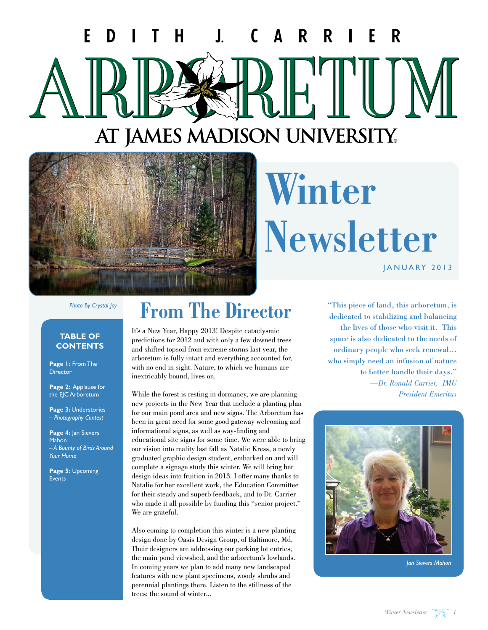#### T F H. R. D  $\bf \bf I$  $\mathbf{A}$ R. E R C AT JAMES MADISON UNIVERSITY.



### **Winter Newsletter** JANUARY 2013

*Photo By Crystal Joy*

#### **TABLE OF CONTENTS**

**Page 1:** From The **Director** 

**Page 2:** Applause for the EJC Arboretum

**Page 3:** Understories *– Photography Contest*

Page 4: Jan Sievers Mahon *– A Bounty of Birds Around Your Home*

**Page 5:** Upcoming Events

### **From The Director**

It's a New Year, Happy 2013! Despite cataclysmic predictions for 2012 and with only a few downed trees and shifted topsoil from extreme storms last year, the arboretum is fully intact and everything accounted for, with no end in sight. Nature, to which we humans are inextricably bound, lives on.

While the forest is resting in dormancy, we are planning new projects in the New Year that include a planting plan for our main pond area and new signs. The Arboretum has been in great need for some good gateway welcoming and informational signs, as well as way-finding and educational site signs for some time. We were able to bring our vision into reality last fall as Natalie Kress, a newly graduated graphic design student, embarked on and will complete a signage study this winter. We will bring her design ideas into fruition in 2013. I offer many thanks to Natalie for her excellent work, the Education Committee for their steady and superb feedback, and to Dr. Carrier who made it all possible by funding this "senior project." We are grateful.

Also coming to completion this winter is a new planting design done by Oasis Design Group, of Baltimore, Md. Their designers are addressing our parking lot entries, the main pond viewshed, and the arboretum's lowlands. In coming years we plan to add many new landscaped features with new plant specimens, woody shrubs and perennial plantings there. Listen to the stillness of the trees; the sound of winter...

"This piece of land, this arboretum, is dedicated to stabilizing and balancing the lives of those who visit it. This space is also dedicated to the needs of ordinary people who seek renewal… who simply need an infusion of nature to better handle their days." *—Dr. Ronald Carrier, JMU President Emeritus*



*Jan Sievers Mahon*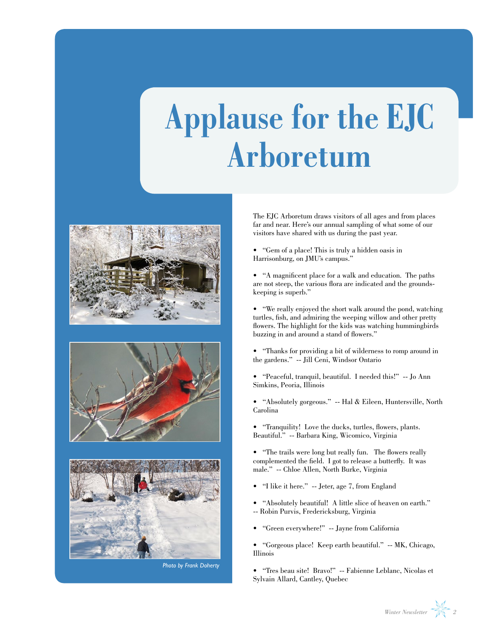## **Applause for the EJC Arboretum**







*Photo by Frank Doherty*

The EJC Arboretum draws visitors of all ages and from places far and near. Here's our annual sampling of what some of our visitors have shared with us during the past year.

- s "Gem of a place! This is truly a hidden oasis in Harrisonburg, on JMU's campus."
- s "A magnificent place for a walk and education. The paths are not steep, the various flora are indicated and the groundskeeping is superb."
- s "We really enjoyed the short walk around the pond, watching turtles, fish, and admiring the weeping willow and other pretty flowers. The highlight for the kids was watching hummingbirds buzzing in and around a stand of flowers."
- s "Thanks for providing a bit of wilderness to romp around in the gardens." -- Jill Ceni, Windsor Ontario
- s "Peaceful, tranquil, beautiful. I needed this!" -- Jo Ann Simkins, Peoria, Illinois
- s "Absolutely gorgeous." -- Hal & Eileen, Huntersville, North Carolina
- s "Tranquility! Love the ducks, turtles, flowers, plants. Beautiful." -- Barbara King, Wicomico, Virginia
- s "The trails were long but really fun. The flowers really complemented the field. I got to release a butterfly. It was male." -- Chloe Allen, North Burke, Virginia
- s "I like it here." -- Jeter, age 7, from England
- s "Absolutely beautiful! A little slice of heaven on earth." -- Robin Purvis, Fredericksburg, Virginia
- s "Green everywhere!" -- Jayne from California
- s "Gorgeous place! Keep earth beautiful." -- MK, Chicago, Illinois
- s "Tres beau site! Bravo!" -- Fabienne Leblanc, Nicolas et Sylvain Allard, Cantley, Quebec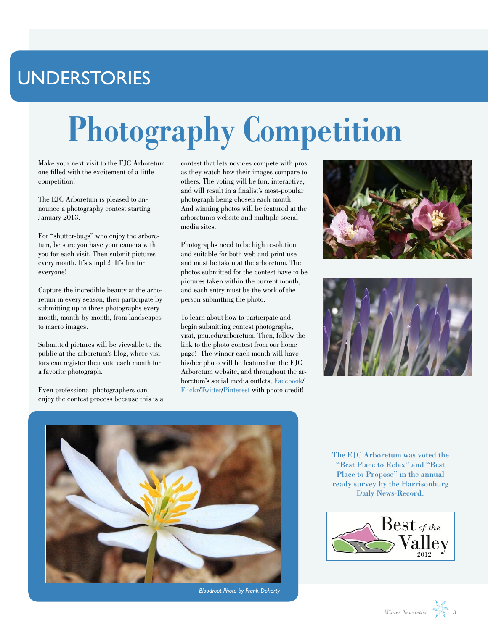### UNDERSTORIES

# **Photography Competition**

Make your next visit to the EJC Arboretum one filled with the excitement of a little competition!

The EJC Arboretum is pleased to announce a photography contest starting January 2013.

For "shutter-bugs" who enjoy the arboretum, be sure you have your camera with you for each visit. Then submit pictures every month. It's simple! It's fun for everyone!

Capture the incredible beauty at the arboretum in every season, then participate by submitting up to three photographs every month, month-by-month, from landscapes to macro images.

Submitted pictures will be viewable to the public at the arboretum's blog, where visitors can register then vote each month for a favorite photograph.

Even professional photographers can enjoy the contest process because this is a contest that lets novices compete with pros as they watch how their images compare to others. The voting will be fun, interactive, and will result in a finalist's most-popular photograph being chosen each month! And winning photos will be featured at the arboretum's website and multiple social media sites.

Photographs need to be high resolution and suitable for both web and print use and must be taken at the arboretum. The photos submitted for the contest have to be pictures taken within the current month, and each entry must be the work of the person submitting the photo.

To learn about how to participate and begin submitting contest photographs, visit, jmu.edu/arboretum. Then, follow the link to the photo contest from our home page! The winner each month will have his/her photo will be featured on the EJC Arboretum website, and throughout the arboretum's social media outlets, [Facebook/](https://www.facebook.com/EJCArboretumJMU?ref=ts&fref=ts) [Flickr](http://www.flickr.com/photos/ejcarboretum)[/Twitter](https://twitter.com/EJCArboretumJMU)[/Pinterest](http://pinterest.com/ejcarboretum/) with photo credit!







*Bloodroot Photo by Frank Doherty*

The EJC Arboretum was voted the "Best Place to Relax" and "Best Place to Propose" in the annual ready survey by the Harrisonburg Daily News-Record.



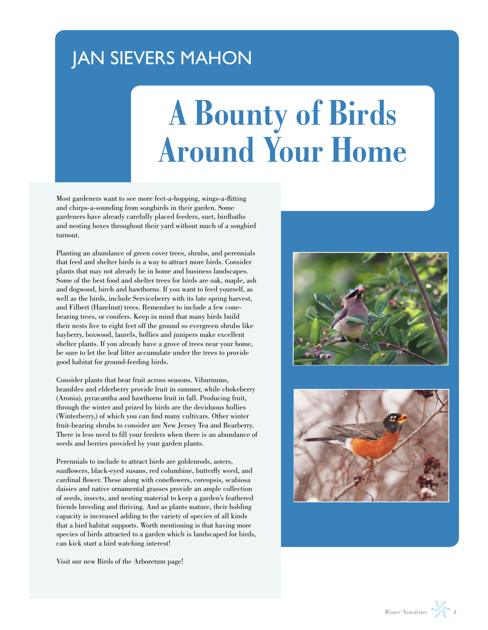#### JAN SIEVERS MAHON

## **A Bounty of Birds Around Your Home**

Most gardeners want to see more feet-a-hopping, wings-a-flitting and chirps-a-sounding from songbirds in their garden. Some gardeners have already carefully placed feeders, suet, birdbaths and nesting boxes throughout their yard without much of a songbird turnout.

Planting an abundance of green cover trees, shrubs, and perennials that feed and shelter birds is a way to attract more birds. Consider plants that may not already be in home and business landscapes. Some of the best food and shelter trees for birds are oak, maple, ash and dogwood, birch and hawthorns. If you want to feed yourself, as well as the birds, include Serviceberry with its late spring harvest, and Filbert (Hazelnut) trees. Remember to include a few conebearing trees, or conifers. Keep in mind that many birds build their nests five to eight feet off the ground so evergreen shrubs like bayberry, boxwood, laurels, hollies and junipers make excellent shelter plants. If you already have a grove of trees near your home, be sure to let the leaf litter accumulate under the trees to provide good habitat for ground-feeding birds.

Consider plants that bear fruit across seasons. Viburnums, brambles and elderberry provide fruit in summer, while chokeberry (Aronia), pyracantha and hawthorns fruit in fall. Producing fruit, through the winter and prized by birds are the deciduous hollies (Winterberry,) of which you can find many cultivars. Other winter fruit-bearing shrubs to consider are New Jersey Tea and Bearberry. There is less need to fill your feeders when there is an abundance of seeds and berries provided by your garden plants.

Perennials to include to attract birds are goldenrods, asters, sunflowers, black-eyed susans, red columbine, butterfly weed, and cardinal flower. These along with coneflowers, coreopsis, scabiosa daisies and native ornamental grasses provide an ample collection of seeds, insects, and nesting material to keep a garden's feathered friends breeding and thriving. And as plants mature, their holding capacity is increased adding to the variety of species of all kinds that a bird habitat supports. Worth mentioning is that having more species of birds attracted to a garden which is landscaped for birds, can kick start a bird watching interest!

[Visit our new Birds of the Arboretum page!](http://www.jmu.edu/arboretum/apps/birds/)